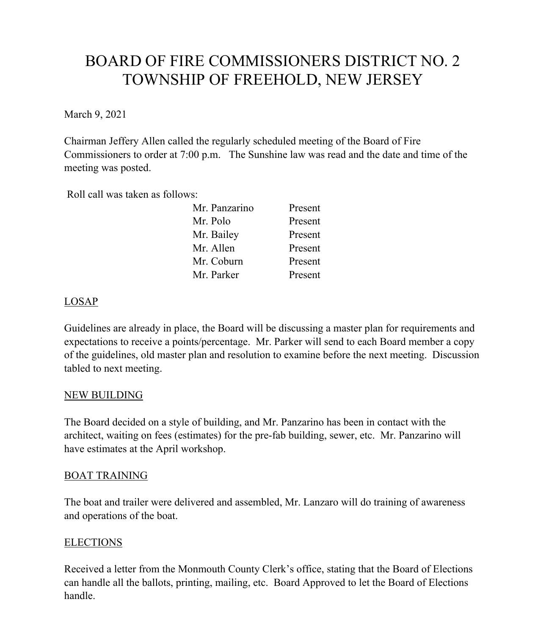# BOARD OF FIRE COMMISSIONERS DISTRICT NO. 2 TOWNSHIP OF FREEHOLD, NEW JERSEY

March 9, 2021

Chairman Jeffery Allen called the regularly scheduled meeting of the Board of Fire Commissioners to order at 7:00 p.m. The Sunshine law was read and the date and time of the meeting was posted.

Roll call was taken as follows:

| Mr. Panzarino | Present |
|---------------|---------|
| Mr. Polo      | Present |
| Mr. Bailey    | Present |
| Mr. Allen     | Present |
| Mr. Coburn    | Present |
| Mr. Parker    | Present |

## LOSAP

Guidelines are already in place, the Board will be discussing a master plan for requirements and expectations to receive a points/percentage. Mr. Parker will send to each Board member a copy of the guidelines, old master plan and resolution to examine before the next meeting. Discussion tabled to next meeting.

#### NEW BUILDING

The Board decided on a style of building, and Mr. Panzarino has been in contact with the architect, waiting on fees (estimates) for the pre-fab building, sewer, etc. Mr. Panzarino will have estimates at the April workshop.

#### BOAT TRAINING

The boat and trailer were delivered and assembled, Mr. Lanzaro will do training of awareness and operations of the boat.

## ELECTIONS

Received a letter from the Monmouth County Clerk's office, stating that the Board of Elections can handle all the ballots, printing, mailing, etc. Board Approved to let the Board of Elections handle.